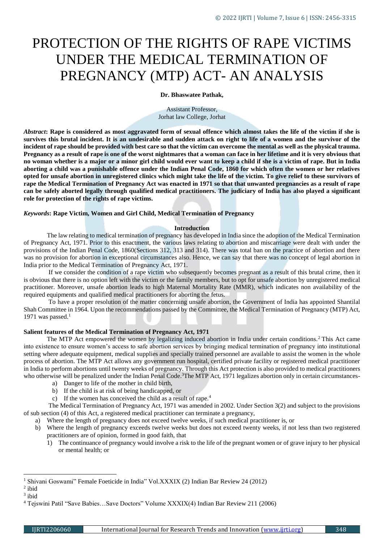# PROTECTION OF THE RIGHTS OF RAPE VICTIMS UNDER THE MEDICAL TERMINATION OF PREGNANCY (MTP) ACT- AN ANALYSIS

## **Dr. Bhaswatee Pathak,**

Assistant Professor, Jorhat law College, Jorhat

*Abstract***: Rape is considered as most aggravated form of sexual offence which almost takes the life of the victim if she is survives this brutal incident. It is an undesirable and sudden attack on right to life of a women and the survivor of the incident of rape should be provided with best care so that the victim can overcome the mental as well as the physical trauma. Pregnancy as a result of rape is one of the worst nightmares that a woman can face in her lifetime and it is very obvious that no woman whether is a major or a minor girl child would ever want to keep a child if she is a victim of rape. But in India aborting a child was a punishable offence under the Indian Penal Code, 1860 for which often the women or her relatives opted for unsafe abortion in unregistered clinics which might take the life of the victim. To give relief to these survivors of rape the Medical Termination of Pregnancy Act was enacted in 1971 so that that unwanted pregnancies as a result of rape can be safely aborted legally through qualified medical practitioners. The judiciary of India has also played a significant role for protection of the rights of rape victims.**

## *Keywords***: Rape Victim, Women and Girl Child, Medical Termination of Pregnancy**

## **Introduction**

The law relating to medical termination of pregnancy has developed in India since the adoption of the Medical Termination of Pregnancy Act, 1971. Prior to this enactment, the various laws relating to abortion and miscarriage were dealt with under the provisions of the Indian Penal Code, 1860(Sections 312, 313 and 314). There was total ban on the practice of abortion and there was no provision for abortion in exceptional circumstances also. Hence, we can say that there was no concept of legal abortion in India prior to the Medical Termination of Pregnancy Act, 1971.

If we consider the condition of a rape victim who subsequently becomes pregnant as a result of this brutal crime, then it is obvious that there is no option left with the victim or the family members, but to opt for unsafe abortion by unregistered medical practitioner. Moreover, unsafe abortion leads to high Maternal Mortality Rate (MMR), which indicates non availability of the required equipments and qualified medical practitioners for aborting the fetus.

To have a proper resolution of the matter concerning unsafe abortion, the Government of India has appointed Shantilal Shah Committee in 1964. Upon the recommendations passed by the Committee, the Medical Termination of Pregnancy (MTP) Act, 1971 was passed. $1$ 

## **Salient features of the Medical Termination of Pregnancy Act, 1971**

The MTP Act empowered the women by legalizing induced abortion in India under certain conditions.<sup>2</sup> This Act came into existence to ensure women's access to safe abortion services by bringing medical termination of pregnancy into institutional setting where adequate equipment, medical supplies and specially trained personnel are available to assist the women in the whole process of abortion. The MTP Act allows any government run hospital, certified private facility or registered medical practitioner in India to perform abortions until twenty weeks of pregnancy. Through this Act protection is also provided to medical practitioners who otherwise will be penalized under the Indian Penal Code.<sup>3</sup>The MTP Act, 1971 legalizes abortion only in certain circumstances-

- a) Danger to life of the mother in child birth,
- b) If the child is at risk of being handicapped, or
- c) If the women has conceived the child as a result of rape.<sup>4</sup>

The Medical Termination of Pregnancy Act, 1971 was amended in 2002. Under Section 3(2) and subject to the provisions of sub section (4) of this Act, a registered medical practitioner can terminate a pregnancy,

- a) Where the length of pregnancy does not exceed twelve weeks, if such medical practitioner is, or
- b) Where the length of pregnancy exceeds twelve weeks but does not exceed twenty weeks, if not less than two registered practitioners are of opinion, formed in good faith, that
	- 1) The continuance of pregnancy would involve a risk to the life of the pregnant women or of grave injury to her physical or mental health; or

<sup>&</sup>lt;sup>1</sup> Shivani Goswami" Female Foeticide in India" Vol.XXXIX (2) Indian Bar Review 24 (2012)

 $2$  ibid

<sup>3</sup> ibid

<sup>4</sup> Tejswini Patil "Save Babies…Save Doctors" Volume XXXIX(4) Indian Bar Review 211 (2006)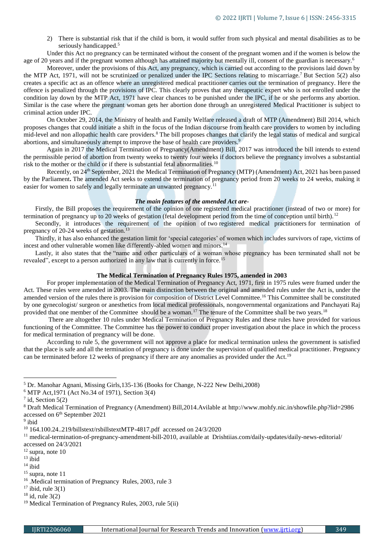2) There is substantial risk that if the child is born, it would suffer from such physical and mental disabilities as to be seriously handicapped.<sup>5</sup>

Under this Act no pregnancy can be terminated without the consent of the pregnant women and if the women is below the age of 20 years and if the pregnant women although has attained majority but mentally ill, consent of the guardian is necessary.<sup>6</sup>

Moreover, under the provisions of this Act, any pregnancy, which is carried out according to the provisions laid down by the MTP Act, 1971, will not be scrutinized or penalized under the IPC Sections relating to miscarriage.<sup>7</sup> But Section 5(2) also creates a specific act as an offence where an unregistered medical practitioner carries out the termination of pregnancy. Here the offence is penalized through the provisions of IPC. This clearly proves that any therapeutic expert who is not enrolled under the condition lay down by the MTP Act, 1971 have clear chances to be punished under the IPC, if he or she performs any abortion. Similar is the case where the pregnant woman gets her abortion done through an unregistered Medical Practitioner is subject to criminal action under IPC.

On October 29, 2014, the Ministry of health and Family Welfare released a draft of MTP (Amendment) Bill 2014, which proposes changes that could initiate a shift in the focus of the Indian discourse from health care providers to women by including mid-level and non allopathic health care providers.<sup>8</sup> The bill proposes changes that clarify the legal status of medical and surgical abortions, and simultaneously attempt to improve the base of health care providers.<sup>9</sup>

Again in 2017 the Medical Termination of Pregnancy(Amendment) Bill, 2017 was introduced the bill intends to extend the permissible period of abortion from twenty weeks to twenty four weeks if doctors believe the pregnancy involves a substantial risk to the mother or the child or if there is substantial fetal abnormalities.<sup>10</sup>

Recently, on 24th September, 2021 the Medical Termination of Pregnancy (MTP) (Amendment) Act, 2021 has been passed by the Parliament**.** The amended Act seeks to extend the termination of pregnancy period from 20 weeks to 24 weeks, making it easier for women to safely and legally terminate an unwanted pregnancy.<sup>11</sup>

# *The main features of the amended Act are-*

Firstly, the Bill proposes the requirement of the opinion of one registered medical practitioner (instead of two or more) for termination of pregnancy up to 20 weeks of gestation (fetal development period from the time of conception until birth).<sup>12</sup>

Secondly, it introduces the requirement of the opinion of two registered medical practitioners for termination of pregnancy of 20-24 weeks of gestation.<sup>13</sup>

Thirdly, it has also enhanced the gestation limit for 'special categories' of women which includes survivors of rape, victims of incest and other vulnerable women like differently-abled women and minors.<sup>14</sup>

Lastly, it also states that the "name and other particulars of a woman whose pregnancy has been terminated shall not be revealed", except to a person authorized in any law that is currently in force.<sup>15</sup>

## **The Medical Termination of Pregnancy Rules 1975, amended in 2003**

For proper implementation of the Medical Termination of Pregnancy Act, 1971, first in 1975 rules were framed under the Act. These rules were amended in 2003. The main distinction between the original and amended rules under the Act is, under the amended version of the rules there is provision for composition of District Level Committee.<sup>16</sup> This Committee shall be constituted by one gynecologist/ surgeon or anesthetics from local medical professionals, nongovernmental organizations and Panchayati Raj provided that one member of the Committee should be a woman.<sup>17</sup> The tenure of the Committee shall be two years.<sup>18</sup>

There are altogether 10 rules under Medical Termination of Pregnancy Rules and these rules have provided for various functioning of the Committee. The Committee has the power to conduct proper investigation about the place in which the process for medical termination of pregnancy will be done.

According to rule 5, the government will not approve a place for medical termination unless the government is satisfied that the place is safe and all the termination of pregnancy is done under the supervision of qualified medical practitioner. Pregnancy can be terminated before 12 weeks of pregnancy if there are any anomalies as provided under the Act.<sup>19</sup>

<sup>5</sup> Dr. Manohar Agnani, Missing Girls,135-136 (Books for Change, N-222 New Delhi,2008)

<sup>6</sup> MTP Act,1971 (Act No.34 of 1971), Section 3(4)

 $7$  id, Section 5(2)

<sup>8</sup> Draft Medical Termination of Pregnancy (Amendment) Bill,2014.Avilable at<http://www.mohfy.nic.in/showfile.php?lid=2986> accessed on 6<sup>th</sup> September 2021

<sup>&</sup>lt;sup>9</sup> ibid

<sup>10</sup> 164.100.24..219/billstext/rsbillstextMTP-4817.pdf accessed on 24/3/2020

<sup>&</sup>lt;sup>11</sup> medical-termination-of-pregnancy-amendment-bill-2010, available at Drishtiias.com/daily-updates/daily-news-editorial/ accessed on 24/3/2021

 $12$  supra, note 10

 $13$  ibid

 $14$  ibid

 $15$  supra, note 11

<sup>16</sup> .Medical termination of Pregnancy Rules, 2003, rule 3

 $17$  ibid, rule 3(1)

 $18$  id, rule 3(2)

<sup>19</sup> Medical Termination of Pregnancy Rules, 2003, rule 5(ii)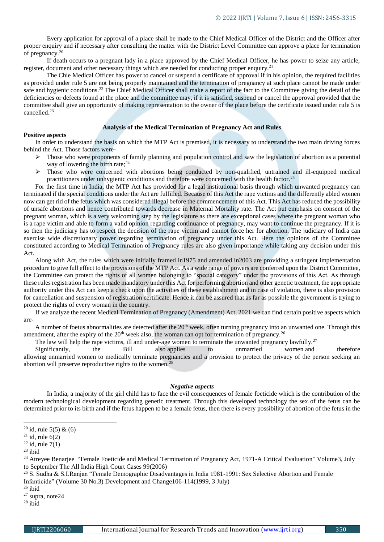Every application for approval of a place shall be made to the Chief Medical Officer of the District and the Officer after proper enquiry and if necessary after consulting the matter with the District Level Committee can approve a place for termination of pregnancy.<sup>20</sup>

If death occurs to a pregnant lady in a place approved by the Chief Medical Officer, he has power to seize any article, register, document and other necessary things which are needed for conducting proper enquiry.<sup>21</sup>

The Chie Medical Officer has power to cancel or suspend a certificate of approval if in his opinion, the required facilities as provided under rule 5 are not being properly maintained and the termination of pregnancy at such place cannot be made under safe and hygienic conditions.<sup>22</sup> The Chief Medical Officer shall make a report of the fact to the Committee giving the detail of the deficiencies or defects found at the place and the committee may, if it is satisfied, suspend or cancel the approval provided that the committee shall give an opportunity of making representation to the owner of the place before the certificate issued under rule 5 is cancelled.<sup>23</sup>

#### **Analysis of the Medical Termination of Pregnancy Act and Rules**

#### **Positive aspects**

In order to understand the basis on which the MTP Act is premised, it is necessary to understand the two main driving forces behind the Act. Those factors were-

- $\triangleright$  Those who were proponents of family planning and population control and saw the legislation of abortion as a potential way of lowering the birth rate; $^{24}$
- $\triangleright$  Those who were concerned with abortions being conducted by non-qualified, untrained and ill-equipped medical practitioners under unhygienic conditions and therefore were concerned with the health factor.<sup>25</sup>

For the first time in India, the MTP Act has provided for a legal institutional basis through which unwanted pregnancy can terminated if the special conditions under the Act are fulfilled. Because of this Act the rape victims and the differently abled women now can get rid of the fetus which was considered illegal before the commencement of this Act. This Act has reduced the possibility of unsafe abortions and hence contributed towards decrease in Maternal Mortality rate. The Act put emphasis on consent of the pregnant woman, which is a very welcoming step by the legislature as there are exceptional cases where the pregnant woman who is a rape victim and able to form a valid opinion regarding continuance of pregnancy, may want to continue the pregnancy. If it is so then the judiciary has to respect the decision of the rape victim and cannot force her for abortion. The judiciary of India can exercise wide discretionary power regarding termination of pregnancy under this Act. Here the opinions of the Committee constituted according to Medical Termination of Pregnancy rules are also given importance while taking any decision under this Act.

Along with Act, the rules which were initially framed in1975 and amended in2003 are providing a stringent implementation procedure to give full effect to the provisions of the MTP Act. As a wide range of powers are conferred upon the District Committee, the Committee can protect the rights of all women belonging to "special category" under the provisions of this Act. As through these rules registration has been made mandatory under this Act for performing abortion and other genetic treatment, the appropriate authority under this Act can keep a check upon the activities of these establishment and in case of violation, there is also provision for cancellation and suspension of registration certificate. Hence it can be assured that as far as possible the government is trying to protect the rights of every woman in the country.

If we analyze the recent Medical Termination of Pregnancy (Amendment) Act, 2021 we can find certain positive aspects which are-

A number of foetus abnormalities are detected after the  $20<sup>th</sup>$  week, often turning pregnancy into an unwanted one. Through this amendment, after the expiry of the  $20<sup>th</sup>$  week also, the woman can opt for termination of pregnancy.<sup>26</sup>

The law will help the rape victims, ill and under-age women to terminate the unwanted pregnancy lawfully.<sup>27</sup>

Significantly, the Bill also applies to unmarried women and therefore allowing unmarried women to medically terminate pregnancies and a provision to protect the privacy of the person seeking an abortion will preserve reproductive rights to the women.<sup>28</sup>

#### *Negative aspects*

In India, a majority of the girl child has to face the evil consequences of female foeticide which is the contribution of the modern technological development regarding genetic treatment. Through this developed technology the sex of the fetus can be determined prior to its birth and if the fetus happen to be a female fetus, then there is every possibility of abortion of the fetus in the

**.** 

<sup>28</sup> ibid

<sup>&</sup>lt;sup>20</sup> id, rule 5(5) & (6)

 $21$  id, rule 6(2)

 $^{22}$  id, rule 7(1)

 $23$  ibid

<sup>&</sup>lt;sup>24</sup> Atreyee Benarjee "Female Foeticide and Medical Termination of Pregnancy Act, 1971-A Critical Evaluation" Volume3, July to September The All India High Court Cases 99(2006)

<sup>&</sup>lt;sup>25</sup> S. Sudha & S.I.Ranjan "Female Demographic Disadvantages in India 1981-1991: Sex Selective Abortion and Female Infanticide" (Volume 30 No.3) Development and Change106-114(1999, 3 July)

<sup>26</sup> ibid

<sup>27</sup> supra, note24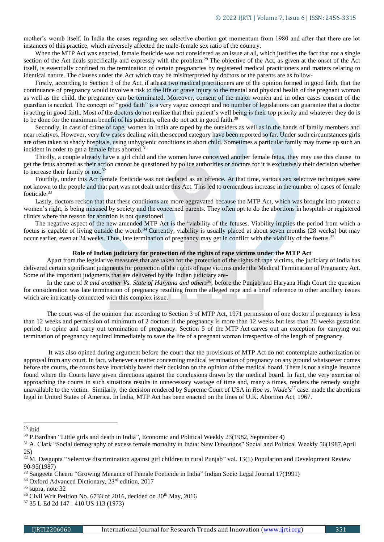mother's womb itself. In India the cases regarding sex selective abortion got momentum from 1980 and after that there are lot instances of this practice, which adversely affected the male-female sex ratio of the country.

When the MTP Act was enacted, female foeticide was not considered as an issue at all, which justifies the fact that not a single section of the Act deals specifically and expressly with the problem.<sup>29</sup> The objective of the Act, as given at the onset of the Act itself, is essentially confined to the termination of certain pregnancies by registered medical practitioners and matters relating to identical nature. The clauses under the Act which may be misinterpreted by doctors or the parents are as follow-

Firstly, according to Section 3 of the Act, if atleast two medical practitioners are of the opinion formed in good faith, that the continuance of pregnancy would involve a risk to the life or grave injury to the mental and physical health of the pregnant woman as well as the child, the pregnancy can be terminated. Moreover, consent of the major women and in other cases consent of the guardian is needed. The concept of "good faith" is a very vague concept and no number of legislations can guarantee that a doctor is acting in good faith. Most of the doctors do not realize that their patient's well being is their top priority and whatever they do is to be done for the maximum benefit of his patients, often do not act in good faith. $30$ 

Secondly, in case of crime of rape, women in India are raped by the outsiders as well as in the hands of family members and near relatives. However, very few cases dealing with the second category have been reported so far. Under such circumstances girls are often taken to shady hospitals, using unhygienic conditions to abort child. Sometimes a particular family may frame up such an incident in order to get a female fetus aborted.<sup>31</sup>

Thirdly, a couple already have a girl child and the women have conceived another female fetus, they may use this clause to get the fetus aborted as their action cannot be questioned by police authorities or doctors for it is exclusively their decision whether to increase their family or not.<sup>32</sup>

Fourthly, under this Act female foeticide was not declared as an offence. At that time, various sex selective techniques were not known to the people and that part was not dealt under this Act. This led to tremendous increase in the number of cases of female foeticide.<sup>33</sup>

Lastly, doctors reckon that that these conditions are more aggravated because the MTP Act, which was brought into protect a women's right, is being misused by society and the concerned parents. They often opt to do the abortions in hospitals or registered clinics where the reason for abortion is not questioned.

The negative aspect of the new amended MTP Act is the 'viability of the fetuses. Viability implies the period from which a foetus is capable of living outside the womb.<sup>34</sup> Currently, viability is usually placed at about seven months (28 weeks) but may occur earlier, even at 24 weeks. Thus, late termination of pregnancy may get in conflict with the viability of the foetus.<sup>35</sup>

## **Role of Indian judiciary for protection of the rights of rape victims under the MTP Act**

Apart from the legislative measures that are taken for the protection of the rights of rape victims, the judiciary of India has delivered certain significant judgments for protection of the rights of rape victims under the Medical Termination of Pregnancy Act. Some of the important judgments that are delivered by the Indian judiciary are-

In the case of *R and another Vs. State of Haryana and others<sup>36</sup>*, before the Punjab and Haryana High Court the question for consideration was late termination of pregnancy resulting from the alleged rape and a brief reference to other ancillary issues which are intricately connected with this complex issue.

The court was of the opinion that according to Section 3 of MTP Act, 1971 permission of one doctor if pregnancy is less than 12 weeks and permission of minimum of 2 doctors if the pregnancy is more than 12 weeks but less than 20 weeks gestation period; to opine and carry out termination of pregnancy. Section 5 of the MTP Act carves out an exception for carrying out termination of pregnancy required immediately to save the life of a pregnant woman irrespective of the length of pregnancy.

It was also opined during argument before the court that the provisions of MTP Act do not contemplate authorization or approval from any court. In fact, whenever a matter concerning medical termination of pregnancy on any ground whatsoever comes before the courts, the courts have invariably based their decision on the opinion of the medical board. There is not a single instance found where the Courts have given directions against the conclusions drawn by the medical board. In fact, the very exercise of approaching the courts in such situations results in unnecessary wastage of time and, many a times, renders the remedy sought unavailable to the victim. Similarly, the decision rendered by Supreme Court of USA in *Roe vs. Wade's<sup>37</sup>* case. made the abortions legal in United States of America. In India, MTP Act has been enacted on the lines of U.K. Abortion Act, 1967.

 $29$  ibid

<sup>30</sup> P.Bardhan "Little girls and death in India", Economic and Political Weekly 23(1982, September 4)

<sup>&</sup>lt;sup>31</sup> A. Clark "Social demography of excess female mortality in India: New Directions" Social and Political Weekly 56(1987,April 25)

<sup>&</sup>lt;sup>32</sup> M. Dasgupta "Selective discrimination against girl children in rural Punjab" vol. 13(1) Population and Development Review 90-95(1987)

<sup>33</sup> Sangeeta Cheeru "Growing Menance of Female Foeticide in India" Indian Socio Legal Journal 17(1991)

<sup>&</sup>lt;sup>34</sup> Oxford Advanced Dictionary, 23<sup>rd</sup> edition, 2017

<sup>35</sup> supra, note 32

<sup>&</sup>lt;sup>36</sup> Civil Writ Petition No. 6733 of 2016, decided on 30<sup>th</sup> May, 2016

<sup>37</sup> 35 L Ed 2d 147 : 410 US 113 (1973)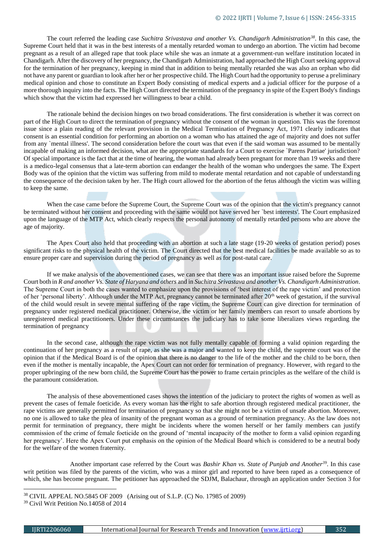The court referred the leading case *Suchitra Srivastava and another Vs. Chandigarh Administration<sup>38</sup>*. In this case, the Supreme Court held that it was in the best interests of a mentally retarded woman to undergo an abortion. The victim had become pregnant as a result of an alleged rape that took place while she was an inmate at a government-run welfare institution located in Chandigarh. After the discovery of her pregnancy, the Chandigarh Administration, had approached the High Court seeking approval for the termination of her pregnancy, keeping in mind that in addition to being mentally retarded she was also an orphan who did not have any parent or guardian to look after her or her prospective child. The High Court had the opportunity to peruse a preliminary medical opinion and chose to constitute an Expert Body consisting of medical experts and a judicial officer for the purpose of a more thorough inquiry into the facts. The High Court directed the termination of the pregnancy in spite of the Expert Body's findings which show that the victim had expressed her willingness to bear a child.

The rationale behind the decision hinges on two broad considerations. The first consideration is whether it was correct on part of the High Court to direct the termination of pregnancy without the consent of the woman in question. This was the foremost issue since a plain reading of the relevant provision in the [Medical Termination of Pregnancy Act,](https://indiankanoon.org/doc/634810/) 1971 clearly indicates that consent is an essential condition for performing an abortion on a woman who has attained the age of majority and does not suffer from any `mental illness'. The second consideration before the court was that even if the said woman was assumed to be mentally incapable of making an informed decision, what are the appropriate standards for a Court to exercise `Parens Patriae' jurisdiction? Of special importance is the fact that at the time of hearing, the woman had already been pregnant for more than 19 weeks and there is a medico-legal consensus that a late-term abortion can endanger the health of the woman who undergoes the same. The Expert Body was of the opinion that the victim was suffering from mild to moderate mental retardation and not capable of understanding the consequence of the decision taken by her. The High court allowed for the abortion of the fetus although the victim was willing to keep the same.

When the case came before the Supreme Court, the Supreme Court was of the opinion that the victim's pregnancy cannot be terminated without her consent and proceeding with the same would not have served her `best interests'. The Court emphasized upon the language of the MTP Act, which clearly respects the personal autonomy of mentally retarded persons who are above the age of majority.

The Apex Court also held that proceeding with an abortion at such a late stage (19-20 weeks of gestation period) poses significant risks to the physical health of the victim. The Court directed that the best medical facilities be made available so as to ensure proper care and supervision during the period of pregnancy as well as for post-natal care.

If we make analysis of the abovementioned cases, we can see that there was an important issue raised before the Supreme Court both in *R and another Vs. State of Haryana and others* and in *Suchitra Srivastava and another Vs. Chandigarh Administration*. The Supreme Court in both the cases wanted to emphasize upon the provisions of 'best interest of the rape victim' and protection of her 'personal liberty'. Although under the MTP Act, pregnancy cannot be terminated after 20<sup>th</sup> week of gestation, if the survival of the child would result in severe mental suffering of the rape victim, the Supreme Court can give direction for termination of pregnancy under registered medical practitioner. Otherwise, the victim or her family members can resort to unsafe abortions by unregistered medical practitioners. Under these circumstances the judiciary has to take some liberalizes views regarding the termination of pregnancy

In the second case, although the rape victim was not fully mentally capable of forming a valid opinion regarding the continuation of her pregnancy as a result of rape, as she was a major and wanted to keep the child, the supreme court was of the opinion that if the Medical Board is of the opinion that there is no danger to the life of the mother and the child to be born, then even if the mother is mentally incapable, the Apex Court can not order for termination of pregnancy. However, with regard to the proper upbringing of the new born child, the Supreme Court has the power to frame certain principles as the welfare of the child is the paramount consideration.

The analysis of these abovementioned cases shows the intention of the judiciary to protect the rights of women as well as prevent the cases of female foeticide. As every woman has the right to safe abortion through registered medical practitioner, the rape victims are generally permitted for termination of pregnancy so that she might not be a victim of unsafe abortion. Moreover, no one is allowed to take the plea of insanity of the pregnant woman as a ground of termination pregnancy. As the law does not permit for termination of pregnancy, there might be incidents where the women herself or her family members can justify commission of the crime of female foeticide on the ground of 'mental incapacity of the mother to form a valid opinion regarding her pregnancy'. Here the Apex Court put emphasis on the opinion of the Medical Board which is considered to be a neutral body for the welfare of the women fraternity.

Another important case referred by the Court was *Bashir Khan vs. State of Punjab and Another<sup>39</sup>*. In this case writ petition was filed by the parents of the victim, who was a minor girl and reported to have been raped as a consequence of which, she has become pregnant. The petitioner has approached the SDJM, Balachaur, through an application under [Section 3](https://indiankanoon.org/doc/200125/) for

1

<sup>38</sup> CIVIL APPEAL NO.5845 OF 2009 (Arising out of S.L.P. (C) No. 17985 of 2009) <sup>39</sup> Civil Writ Petition No.14058 of 2014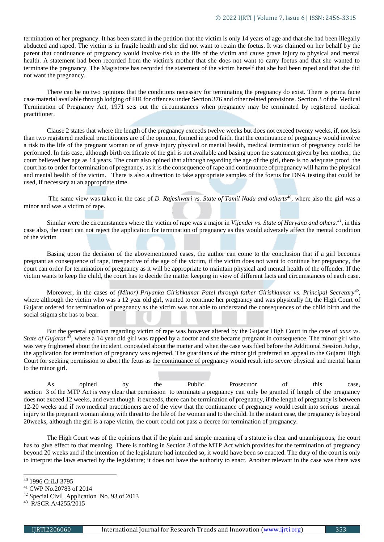termination of her pregnancy. It has been stated in the petition that the victim is only 14 years of age and that she had been illegally abducted and raped. The victim is in fragile health and she did not want to retain the foetus. It was claimed on her behalf by the parent that continuance of pregnancy would involve risk to the life of the victim and cause grave injury to physical and mental health. A statement had been recorded from the victim's mother that she does not want to carry foetus and that she wanted to terminate the pregnancy. The Magistrate has recorded the statement of the victim herself that she had been raped and that she did not want the pregnancy.

There can be no two opinions that the conditions necessary for terminating the pregnancy do exist. There is prima facie case material available through lodging of FIR for offences under [Section 376](https://indiankanoon.org/doc/1973522/) and other related provisions. [Section 3](https://indiankanoon.org/doc/1836566/) of the Medical Termination of Pregnancy Act, 1971 sets out the circumstances when pregnancy may be terminated by registered medical practitioner.

Clause 2 states that where the length of the pregnancy exceeds twelve weeks but does not exceed twenty weeks, if, not less than two registered medical practitioners are of the opinion, formed in good faith, that the continuance of pregnancy would involve a risk to the life of the pregnant woman or of grave injury physical or mental health, medical termination of pregnancy could be performed. In this case, although birth certificate of the girl is not available and basing upon the statement given by her mother, the court believed her age as 14 years. The court also opined that although regarding the age of the girl, there is no adequate proof, the court has to order for termination of pregnancy, as it is the consequence of rape and continuance of pregnancy will harm the physical and mental health of the victim. There is also a direction to take appropriate samples of the foetus for DNA testing that could be used, if necessary at an appropriate time.

The same view was taken in the case of *D. Rajeshwari vs. State of Tamil Nadu and otherts*<sup>40</sup>, where also the girl was a minor and was a victim of rape.

Similar were the circumstances where the victim of rape was a major in *Vijender vs. State of Haryana and others.<sup>41</sup>*, in this case also, the court can not reject the application for termination of pregnancy as this would adversely affect the mental condition of the victim

Basing upon the decision of the abovementioned cases, the author can come to the conclusion that if a girl becomes pregnant as consequence of rape, irrespective of the age of the victim, if the victim does not want to continue her pregnancy, the court can order for termination of pregnancy as it will be appropriate to maintain physical and mental health of the offender. If the victim wants to keep the child, the court has to decide the matter keeping in view of different facts and circumstances of each case.

Moreover, in the cases of *(Minor) Priyanka Girishkumar Patel through father Girishkumar vs. Principal Secretary<sup>42</sup>* , where although the victim who was a 12 year old girl, wanted to continue her pregnancy and was physically fit, the High Court of Gujarat ordered for termination of pregnancy as the victim was not able to understand the consequences of the child birth and the social stigma she has to bear.

But the general opinion regarding victim of rape was however altered by the Gujarat High Court in the case of *xxxx vs. State of Gujarat* <sup>43</sup>, where a 14 year old girl was rapped by a doctor and she became pregnant in consequence. The minor girl who was very frightened about the incident, concealed about the matter and when the case was filed before the Additional Session Judge, the application for termination of pregnancy was rejected. The guardians of the minor girl preferred an appeal to the Gujarat High Court for seeking permission to abort the fetus as the continuance of pregnancy would result into severe physical and mental harm to the minor girl.

As opined by the Public Prosecutor of this case, section 3 of the MTP Act is very clear that permission to terminate a pregnancy can only be granted if length of the pregnancy does not exceed 12 weeks, and even though it exceeds, there can be termination of pregnancy, if the length of pregnancy is between 12-20 weeks and if two medical practitioners are of the view that the continuance of pregnancy would result into serious mental injury to the pregnant woman along with threat to the life of the woman and to the child. In the instant case, the pregnancy is beyond 20weeks, although the girl is a rape victim, the court could not pass a decree for termination of pregnancy.

The High Court was of the opinions that if the plain and simple meaning of a statute is clear and unambiguous, the court has to give effect to that meaning. There is nothing in Section 3 of the MTP Act which provides for the termination of pregnancy beyond 20 weeks and if the intention of the legislature had intended so, it would have been so enacted. The duty of the court is only to interpret the laws enacted by the legislature; it does not have the authority to enact. Another relevant in the case was there was

<sup>40</sup> 1996 CriLJ 3795

<sup>41</sup> CWP No.20783 of 2014

<sup>42</sup> Special Civil Application No. 93 of 2013

<sup>43</sup> R/SCR.A/4255/2015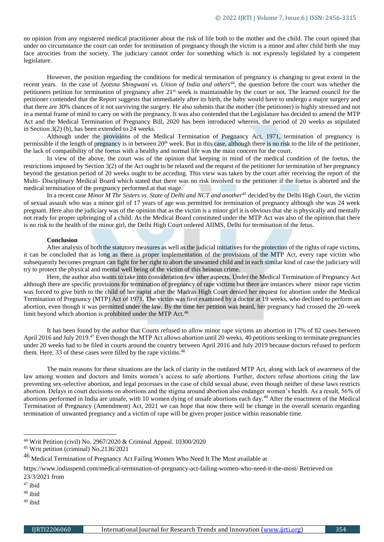no opinion from any registered medical practitioner about the risk of life both to the mother and the child. The court opined that under no circumstance the court can order for termination of pregnancy though the victim is a minor and after child birth she may face atrocities from the society. The judiciary cannot order for something which is not expressly legislated by a competent legislature.

However, the position regarding the conditions for medical termination of pregnancy is changing to great extent in the recent years. In the case of *Jyotsna Shingwani vs. Union of India and others<sup>44</sup>*, the question before the court was whether the petitioners petition for termination of pregnancy after 21st week is maintainable by the court or not. The learned council for the petitioner contended that the Report suggests that immediately after its birth, the baby would have to undergo a major surgery and that there are 30% chances of it not surviving the surgery. He also submits that the mother (the petitioner) is highly stressed and not in a mental frame of mind to carry on with the pregnancy. It was also contended that the Legislature has decided to amend the MTP Act and the Medical Termination of Pregnancy Bill, 2020 has been introduced wherein, the period of 20 weeks as stipulated in [Section 3\(2\) \(b\),](https://indiankanoon.org/doc/312960/) has been extended to 24 weeks.

Although under the provisions of the Medical Termination of Pregnancy Act, 1971, termination of pregnancy is permissible if the length of pregnancy is in between 20<sup>th</sup> week. But in this case, although there is no risk to the life of the petitioner, the lack of compatibility of the foetus with a healthy and normal life was the main concern for the court.

In view of the above, the court was of the opinion that keeping in mind of the medical condition of the foetus, the restrictions imposed by [Section 3\(2\)](https://indiankanoon.org/doc/357331/) of the Act ought to be relaxed and the request of the petitioner for termination of her pregnancy beyond the gestation period of 20 weeks ought to be acceding. This view was taken by the court after receiving the report of the Multi- Disciplinary Medical Board which stated that there was no risk involved to the petitioner if the foetus is aborted and the medical termination of the pregnancy performed at that stage.

In a recent case *Minor M Thr Sisters vs. State of Delhi and NCT and another*<sup>45</sup> decided by the Delhi High Court, the victim of sexual assault who was a minor girl of 17 years of age was permitted for termination of pregnancy although she was 24 week pregnant. Here also the judiciary was of the opinion that as the victim is a minor girl it is obvious that she is physically and mentally not ready for proper upbringing of a child. As the Medical Board constituted under the MTP Act was also of the opinion that there is no risk to the health of the minor girl, the Delhi High Court ordered AIIMS, Delhi for termination of the fetus.

#### **Conclusion**

After analysis of both the statutory measures as well as the judicial initiatives for the protection of the rights of rape victims, it can be concluded that as long as there is proper implementation of the provisions of the MTP Act, every rape victim who subsequently becomes pregnant can fight for her right to abort the unwanted child and in each similar kind of case the judiciary will try to protect the physical and mental well being of the victim of this heinous crime.

Here, the author also wants to take into consideration few other aspects. Under the Medical Termination of Pregnancy Act although there are specific provisions for termination of pregnancy of rape victims but there are instances where minor rape victim was forced to give birth to the child of her rapist after the Madras High Court denied her request for abortion under the [Medical](https://indiacode.nic.in/handle/123456789/1593?view_type=browse&sam_handle=)  [Termination of Pregnancy \(MTP\) Act](https://indiacode.nic.in/handle/123456789/1593?view_type=browse&sam_handle=) of 1971. The victim was first examined by a doctor at 19 weeks, who declined to perform an abortion, even though it was permitted under the law. By the time her petition was heard, her pregnancy had crossed the 20-week limit beyond which abortion is prohibited under the MTP Act.<sup>46</sup>

It has been found by the author that Courts refused to allow minor rape victims an abortion in 17% of 82 cases between April 2016 and July 2019.<sup>47</sup> Even though the MTP Act allows abortion until 20 weeks, 40 petitions seeking to terminate pregnancies under 20 weeks had to be filed in courts around the country between April 2016 and July 2019 because doctors refused to perform them. Here, 33 of these cases were filled by the rape victims.<sup>48</sup>

The main reasons for these situations are the lack of clarity in the outdated MTP Act, along with lack of awareness of the law among women and doctors and limits women's access to safe abortions. Further, doctors refuse abortions citing the law preventing sex-selective abortion, and legal processes in the case of child sexual abuse, even though neither of these laws restricts abortion. Delays in court decisions on abortions and the stigma around abortion also endanger women's health. As a result, 56% of abortions performed in India are unsafe, with 10 women dying of unsafe abortions each day.<sup>49</sup> After the enactment of the Medical Termination of Pregnancy (Amendment) Act, 2021 we can hope that now there will be change in the overall scenario regarding termination of unwanted pregnancy and a victim of rape will be given proper justice within reasonable time.

- <sup>47</sup> ibid
- <sup>48</sup> ibid

1

<sup>49</sup> ibid

<sup>44</sup> Writ Petition (civil) No. 2967/2020 & Criminal Appeal. 10300/2020

<sup>45</sup> Writ petition (criminal) No.2136/2021

<sup>46</sup> Medical Termination of Pregnancy Act Failing Women Who Need It The Most available at

<https://www.indiaspend.com/medical-termination-of-pregnancy-act-failing-women-who-need-it-the-most/> Retrieved on 23/3/2021 from